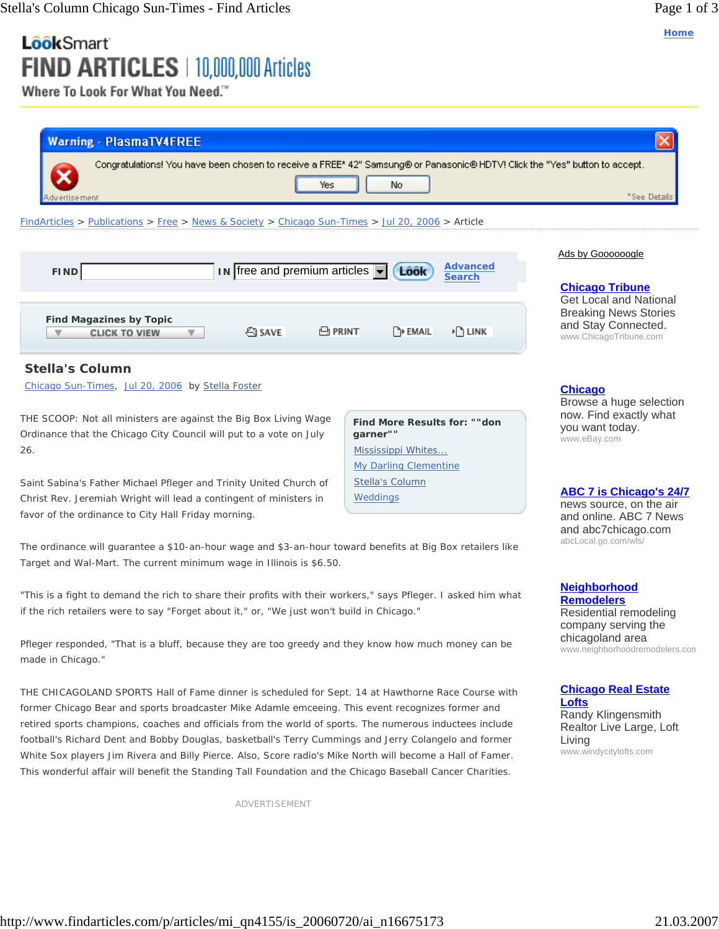**Home**

# LôôkSmart FIND ARTICLES | 10,000,000 Articles

Where To Look For What You Need."

| <b>Warning - PlasmaTV4FREE</b>                                                                                                                                                                                                                                                                                                                                                                                                                                                                                                                                                                                                                           |                                                                    |                                                                                                                           |  |
|----------------------------------------------------------------------------------------------------------------------------------------------------------------------------------------------------------------------------------------------------------------------------------------------------------------------------------------------------------------------------------------------------------------------------------------------------------------------------------------------------------------------------------------------------------------------------------------------------------------------------------------------------------|--------------------------------------------------------------------|---------------------------------------------------------------------------------------------------------------------------|--|
| Congratulations! You have been chosen to receive a FREE* 42" Samsung® or Panasonic® HDTV! Click the "Yes" button to accept.<br>Yes<br>dv ertise ment                                                                                                                                                                                                                                                                                                                                                                                                                                                                                                     | No                                                                 | <sup>*</sup> See Details                                                                                                  |  |
| FindArticles > Publications > Free > News & Society > Chicago Sun-Times > Jul 20, 2006 > Article                                                                                                                                                                                                                                                                                                                                                                                                                                                                                                                                                         |                                                                    |                                                                                                                           |  |
| $\overline{\mathsf{IN}}$ free and premium articles $\overline{\mathsf{I}}$<br>FIND                                                                                                                                                                                                                                                                                                                                                                                                                                                                                                                                                                       | <b>Advanced</b><br>Lôôk<br><b>Search</b>                           | Ads by Goooooogle<br><b>Chicago Tribune</b>                                                                               |  |
| <b>Find Magazines by Topic</b><br><b>ES SAVE</b><br><b>A</b> PRINT<br><b>CLICK TO VIEW</b>                                                                                                                                                                                                                                                                                                                                                                                                                                                                                                                                                               | <b>ENAIL</b><br>▶ि LINK                                            | <b>Get Local and National</b><br><b>Breaking News Stories</b><br>and Stay Connected.<br>www.ChicagoTribune.com            |  |
| <b>Stella's Column</b><br>Chicago Sun-Times, Jul 20, 2006 by Stella Foster                                                                                                                                                                                                                                                                                                                                                                                                                                                                                                                                                                               |                                                                    | <b>Chicago</b><br>Browse a huge selection                                                                                 |  |
| THE SCOOP: Not all ministers are against the Big Box Living Wage<br>Ordinance that the Chicago City Council will put to a vote on July<br>26.                                                                                                                                                                                                                                                                                                                                                                                                                                                                                                            | Find More Results for: ""don<br>garner""<br>Mississippi Whites     | now. Find exactly what<br>you want today.<br>www.eBay.com                                                                 |  |
| Saint Sabina's Father Michael Pfleger and Trinity United Church of<br>Christ Rev. Jeremiah Wright will lead a contingent of ministers in<br>favor of the ordinance to City Hall Friday morning.                                                                                                                                                                                                                                                                                                                                                                                                                                                          | <b>My Darling Clementine</b><br><b>Stella's Column</b><br>Weddings | <b>ABC 7 is Chicago's 24/7</b><br>news source, on the air<br>and online. ABC 7 News                                       |  |
| The ordinance will guarantee a \$10-an-hour wage and \$3-an-hour toward benefits at Big Box retailers like<br>Target and Wal-Mart. The current minimum wage in Illinois is \$6.50.                                                                                                                                                                                                                                                                                                                                                                                                                                                                       |                                                                    | and abc7chicago.com<br>abcLocal.go.com/wls/                                                                               |  |
| "This is a fight to demand the rich to share their profits with their workers," says Pfleger. I asked him what<br>if the rich retailers were to say "Forget about it," or, "We just won't build in Chicago."                                                                                                                                                                                                                                                                                                                                                                                                                                             |                                                                    | <b>Neighborhood</b><br><b>Remodelers</b><br>Residential remodeling<br>company serving the                                 |  |
| Pfleger responded, "That is a bluff, because they are too greedy and they know how much money can be<br>made in Chicago."                                                                                                                                                                                                                                                                                                                                                                                                                                                                                                                                |                                                                    | chicagoland area<br>www.neighborhoodremodelers.con                                                                        |  |
| THE CHICAGOLAND SPORTS Hall of Fame dinner is scheduled for Sept. 14 at Hawthorne Race Course with<br>former Chicago Bear and sports broadcaster Mike Adamle emceeing. This event recognizes former and<br>retired sports champions, coaches and officials from the world of sports. The numerous inductees include<br>football's Richard Dent and Bobby Douglas, basketball's Terry Cummings and Jerry Colangelo and former<br>White Sox players Jim Rivera and Billy Pierce. Also, Score radio's Mike North will become a Hall of Famer.<br>This wonderful affair will benefit the Standing Tall Foundation and the Chicago Baseball Cancer Charities. |                                                                    | <b>Chicago Real Estate</b><br>Lofts<br>Randy Klingensmith<br>Realtor Live Large, Loft<br>Living<br>www.windycitylofts.com |  |
| ADVERTISEMENT                                                                                                                                                                                                                                                                                                                                                                                                                                                                                                                                                                                                                                            |                                                                    |                                                                                                                           |  |
|                                                                                                                                                                                                                                                                                                                                                                                                                                                                                                                                                                                                                                                          |                                                                    |                                                                                                                           |  |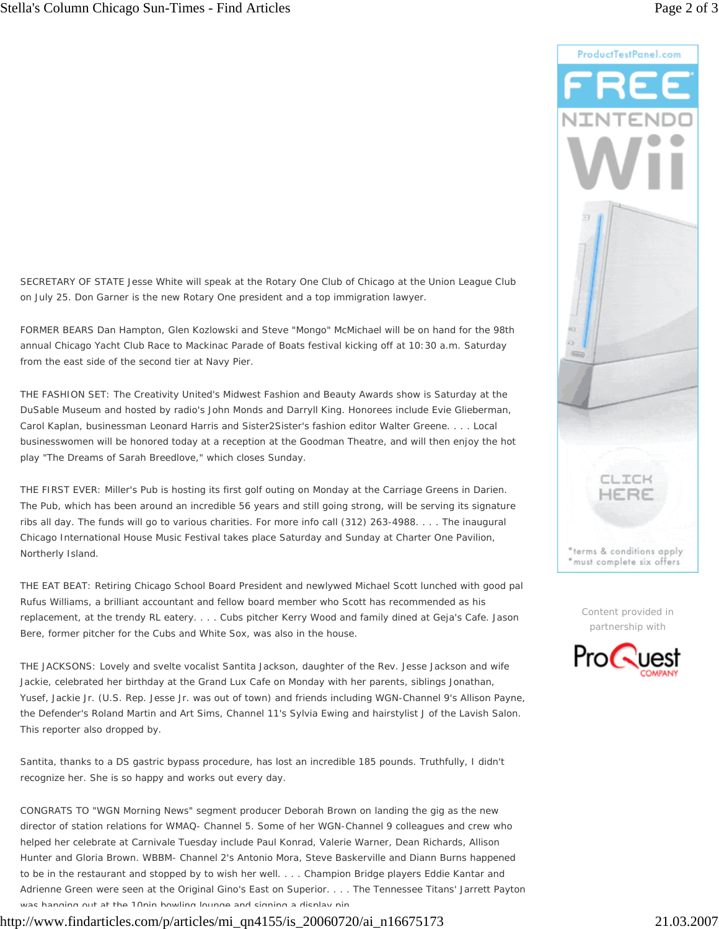

Content provided in partnership with



SECRETARY OF STATE Jesse White will speak at the Rotary One Club of Chicago at the Union League Club on July 25. Don Garner is the new Rotary One president and a top immigration lawyer.

FORMER BEARS Dan Hampton, Glen Kozlowski and Steve "Mongo" McMichael will be on hand for the 98th annual Chicago Yacht Club Race to Mackinac Parade of Boats festival kicking off at 10:30 a.m. Saturday from the east side of the second tier at Navy Pier.

THE FASHION SET: The Creativity United's Midwest Fashion and Beauty Awards show is Saturday at the DuSable Museum and hosted by radio's John Monds and Darryll King. Honorees include Evie Glieberman, Carol Kaplan, businessman Leonard Harris and Sister2Sister's fashion editor Walter Greene. . . . Local businesswomen will be honored today at a reception at the Goodman Theatre, and will then enjoy the hot play "The Dreams of Sarah Breedlove," which closes Sunday.

THE FIRST EVER: Miller's Pub is hosting its first golf outing on Monday at the Carriage Greens in Darien. The Pub, which has been around an incredible 56 years and still going strong, will be serving its signature ribs all day. The funds will go to various charities. For more info call (312) 263-4988. . . . The inaugural Chicago International House Music Festival takes place Saturday and Sunday at Charter One Pavilion, Northerly Island.

THE EAT BEAT: Retiring Chicago School Board President and newlywed Michael Scott lunched with good pal Rufus Williams, a brilliant accountant and fellow board member who Scott has recommended as his replacement, at the trendy RL eatery. . . . Cubs pitcher Kerry Wood and family dined at Geja's Cafe. Jason Bere, former pitcher for the Cubs and White Sox, was also in the house.

THE JACKSONS: Lovely and svelte vocalist Santita Jackson, daughter of the Rev. Jesse Jackson and wife Jackie, celebrated her birthday at the Grand Lux Cafe on Monday with her parents, siblings Jonathan, Yusef, Jackie Jr. (U.S. Rep. Jesse Jr. was out of town) and friends including WGN-Channel 9's Allison Payne, the Defender's Roland Martin and Art Sims, Channel 11's Sylvia Ewing and hairstylist J of the Lavish Salon. This reporter also dropped by.

Santita, thanks to a DS gastric bypass procedure, has lost an incredible 185 pounds. Truthfully, I didn't recognize her. She is so happy and works out every day.

CONGRATS TO "WGN Morning News" segment producer Deborah Brown on landing the gig as the new director of station relations for WMAQ- Channel 5. Some of her WGN-Channel 9 colleagues and crew who helped her celebrate at Carnivale Tuesday include Paul Konrad, Valerie Warner, Dean Richards, Allison Hunter and Gloria Brown. WBBM- Channel 2's Antonio Mora, Steve Baskerville and Diann Burns happened to be in the restaurant and stopped by to wish her well. . . . Champion Bridge players Eddie Kantar and Adrienne Green were seen at the Original Gino's East on Superior. . . . The Tennessee Titans' Jarrett Payton was hanging out at the 10pin bowling lounge and signing a display pin